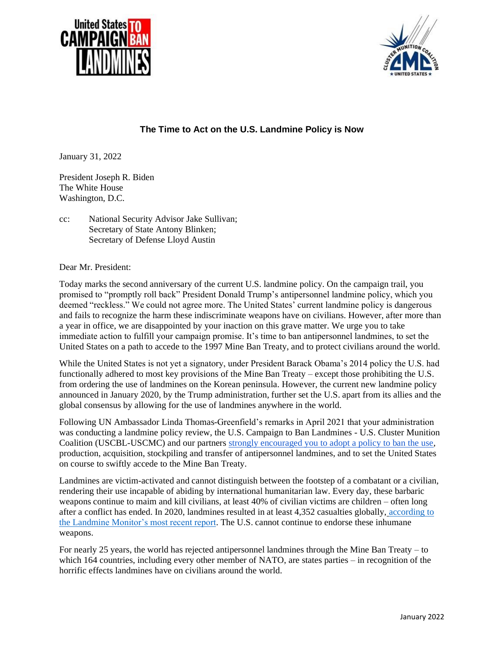



## **The Time to Act on the U.S. Landmine Policy is Now**

January 31, 2022

President Joseph R. Biden The White House Washington, D.C.

cc: National Security Advisor Jake Sullivan; Secretary of State Antony Blinken; Secretary of Defense Lloyd Austin

Dear Mr. President:

Today marks the second anniversary of the current U.S. landmine policy. On the campaign trail, you promised to "promptly roll back" President Donald Trump's antipersonnel landmine policy, which you deemed "reckless." We could not agree more. The United States' current landmine policy is dangerous and fails to recognize the harm these indiscriminate weapons have on civilians. However, after more than a year in office, we are disappointed by your inaction on this grave matter. We urge you to take immediate action to fulfill your campaign promise. It's time to ban antipersonnel landmines, to set the United States on a path to accede to the 1997 Mine Ban Treaty, and to protect civilians around the world.

While the United States is not yet a signatory, under President Barack Obama's 2014 policy the U.S. had functionally adhered to most key provisions of the Mine Ban Treaty – except those prohibiting the U.S. from ordering the use of landmines on the Korean peninsula. However, the current new landmine policy announced in January 2020, by the Trump administration, further set the U.S. apart from its allies and the global consensus by allowing for the use of landmines anywhere in the world.

Following UN Ambassador Linda Thomas-Greenfield's remarks in April 2021 that your administration was conducting a landmine policy review, the U.S. Campaign to Ban Landmines - U.S. Cluster Munition Coalition (USCBL-USCMC) and our partner[s strongly encouraged you to adopt a policy to ban the use,](http://www.banminesusa.org/news/2021/04/28/letter-to-president-biden/) production, acquisition, stockpiling and transfer of antipersonnel landmines, and to set the United States on course to swiftly accede to the Mine Ban Treaty.

Landmines are victim-activated and cannot distinguish between the footstep of a combatant or a civilian, rendering their use incapable of abiding by international humanitarian law. Every day, these barbaric weapons continue to maim and kill civilians, at least 40% of civilian victims are children – often long after a conflict has ended. In 2020, landmines resulted in at least 4,352 casualties globally, [according to](http://www.the-monitor.org/en-gb/reports/2021/landmine-monitor-2021.aspx)  [the Landmine Monitor's most recent report.](http://www.the-monitor.org/en-gb/reports/2021/landmine-monitor-2021.aspx) The U.S. cannot continue to endorse these inhumane weapons.

For nearly 25 years, the world has rejected antipersonnel landmines through the Mine Ban Treaty – to which 164 countries, including every other member of NATO, are states parties – in recognition of the horrific effects landmines have on civilians around the world.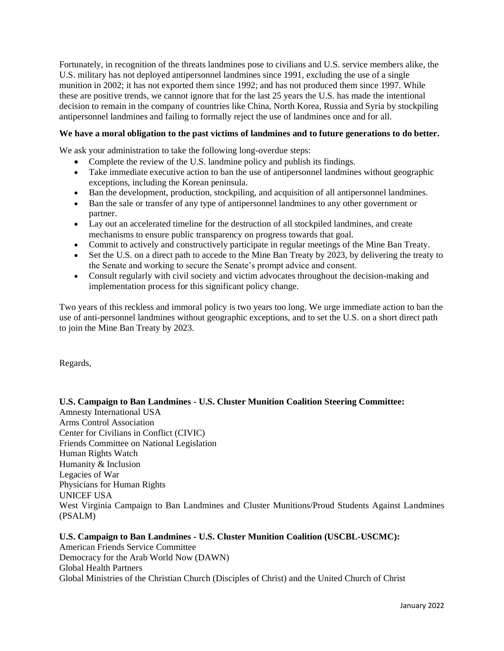Fortunately, in recognition of the threats landmines pose to civilians and U.S. service members alike, the U.S. military has not deployed antipersonnel landmines since 1991, excluding the use of a single munition in 2002; it has not exported them since 1992; and has not produced them since 1997. While these are positive trends, we cannot ignore that for the last 25 years the U.S. has made the intentional decision to remain in the company of countries like China, North Korea, Russia and Syria by stockpiling antipersonnel landmines and failing to formally reject the use of landmines once and for all.

## **We have a moral obligation to the past victims of landmines and to future generations to do better.**

We ask your administration to take the following long-overdue steps:

- Complete the review of the U.S. landmine policy and publish its findings.
- Take immediate executive action to ban the use of antipersonnel landmines without geographic exceptions, including the Korean peninsula.
- Ban the development, production, stockpiling, and acquisition of all antipersonnel landmines.
- Ban the sale or transfer of any type of antipersonnel landmines to any other government or partner.
- Lay out an accelerated timeline for the destruction of all stockpiled landmines, and create mechanisms to ensure public transparency on progress towards that goal.
- Commit to actively and constructively participate in regular meetings of the Mine Ban Treaty.
- Set the U.S. on a direct path to accede to the Mine Ban Treaty by 2023, by delivering the treaty to the Senate and working to secure the Senate's prompt advice and consent.
- Consult regularly with civil society and victim advocates throughout the decision-making and implementation process for this significant policy change.

Two years of this reckless and immoral policy is two years too long. We urge immediate action to ban the use of anti-personnel landmines without geographic exceptions, and to set the U.S. on a short direct path to join the Mine Ban Treaty by 2023.

Regards,

**U.S. Campaign to Ban Landmines - U.S. Cluster Munition Coalition Steering Committee:** Amnesty International USA Arms Control Association Center for Civilians in Conflict (CIVIC) Friends Committee on National Legislation Human Rights Watch Humanity & Inclusion Legacies of War Physicians for Human Rights UNICEF USA West Virginia Campaign to Ban Landmines and Cluster Munitions/Proud Students Against Landmines (PSALM)

**U.S. Campaign to Ban Landmines - U.S. Cluster Munition Coalition (USCBL-USCMC):** American Friends Service Committee Democracy for the Arab World Now (DAWN) Global Health Partners Global Ministries of the Christian Church (Disciples of Christ) and the United Church of Christ